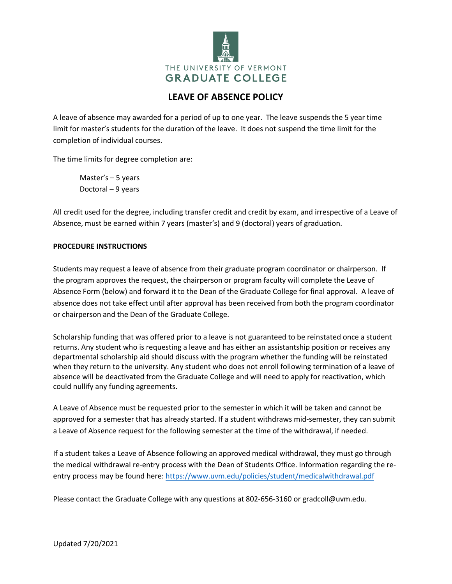

## **LEAVE OF ABSENCE POLICY**

A leave of absence may awarded for a period of up to one year. The leave suspends the 5 year time limit for master's students for the duration of the leave. It does not suspend the time limit for the completion of individual courses.

The time limits for degree completion are:

Master's – 5 years Doctoral – 9 years

All credit used for the degree, including transfer credit and credit by exam, and irrespective of a Leave of Absence, must be earned within 7 years (master's) and 9 (doctoral) years of graduation.

## **PROCEDURE INSTRUCTIONS**

Students may request a leave of absence from their graduate program coordinator or chairperson. If the program approves the request, the chairperson or program faculty will complete the Leave of Absence Form (below) and forward it to the Dean of the Graduate College for final approval. A leave of absence does not take effect until after approval has been received from both the program coordinator or chairperson and the Dean of the Graduate College.

Scholarship funding that was offered prior to a leave is not guaranteed to be reinstated once a student returns. Any student who is requesting a leave and has either an assistantship position or receives any departmental scholarship aid should discuss with the program whether the funding will be reinstated when they return to the university. Any student who does not enroll following termination of a leave of absence will be deactivated from the Graduate College and will need to apply for reactivation, which could nullify any funding agreements.

A Leave of Absence must be requested prior to the semester in which it will be taken and cannot be approved for a semester that has already started. If a student withdraws mid-semester, they can submit a Leave of Absence request for the following semester at the time of the withdrawal, if needed.

If a student takes a Leave of Absence following an approved medical withdrawal, they must go through the medical withdrawal re-entry process with the Dean of Students Office. Information regarding the reentry process may be found here: <https://www.uvm.edu/policies/student/medicalwithdrawal.pdf>

Please contact the Graduate College with any questions at 802-656-3160 or gradcoll@uvm.edu.